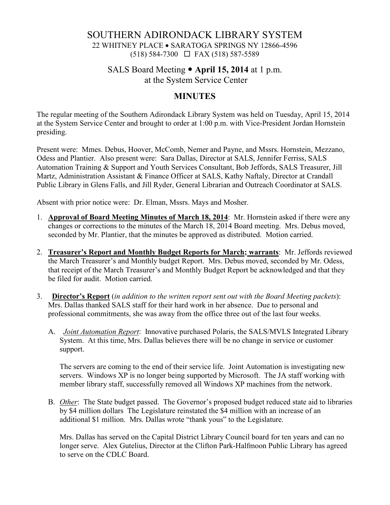# SOUTHERN ADIRONDACK LIBRARY SYSTEM 22 WHITNEY PLACE • SARATOGA SPRINGS NY 12866-4596  $(518) 584-7300 \square$  FAX (518) 587-5589

# SALS Board Meeting **April 15, 2014** at 1 p.m. at the System Service Center

### **MINUTES**

The regular meeting of the Southern Adirondack Library System was held on Tuesday, April 15, 2014 at the System Service Center and brought to order at 1:00 p.m. with Vice-President Jordan Hornstein presiding.

Present were: Mmes. Debus, Hoover, McComb, Nemer and Payne, and Mssrs. Hornstein, Mezzano, Odess and Plantier. Also present were: Sara Dallas, Director at SALS, Jennifer Ferriss, SALS Automation Training & Support and Youth Services Consultant, Bob Jeffords, SALS Treasurer, Jill Martz, Administration Assistant & Finance Officer at SALS, Kathy Naftaly, Director at Crandall Public Library in Glens Falls, and Jill Ryder, General Librarian and Outreach Coordinator at SALS.

Absent with prior notice were: Dr. Elman, Mssrs. Mays and Mosher.

- 1. **Approval of Board Meeting Minutes of March 18, 2014**: Mr. Hornstein asked if there were any changes or corrections to the minutes of the March 18, 2014 Board meeting. Mrs. Debus moved, seconded by Mr. Plantier, that the minutes be approved as distributed. Motion carried.
- 2. **Treasurer's Report and Monthly Budget Reports for March; warrants**: Mr. Jeffords reviewed the March Treasurer's and Monthly budget Report. Mrs. Debus moved, seconded by Mr. Odess, that receipt of the March Treasurer's and Monthly Budget Report be acknowledged and that they be filed for audit. Motion carried.
- 3. **Director's Report** (*in addition to the written report sent out with the Board Meeting packets*): Mrs. Dallas thanked SALS staff for their hard work in her absence. Due to personal and professional commitments, she was away from the office three out of the last four weeks.
	- A. *Joint Automation Report*: Innovative purchased Polaris, the SALS/MVLS Integrated Library System. At this time, Mrs. Dallas believes there will be no change in service or customer support.

The servers are coming to the end of their service life. Joint Automation is investigating new servers. Windows XP is no longer being supported by Microsoft. The JA staff working with member library staff, successfully removed all Windows XP machines from the network.

B. *Other*: The State budget passed. The Governor's proposed budget reduced state aid to libraries by \$4 million dollars The Legislature reinstated the \$4 million with an increase of an additional \$1 million. Mrs. Dallas wrote "thank yous" to the Legislature.

Mrs. Dallas has served on the Capital District Library Council board for ten years and can no longer serve. Alex Gutelius, Director at the Clifton Park-Halfmoon Public Library has agreed to serve on the CDLC Board.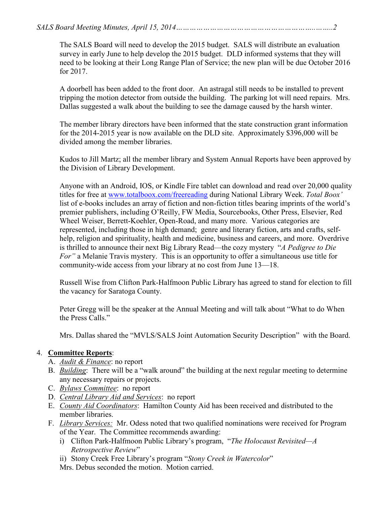The SALS Board will need to develop the 2015 budget. SALS will distribute an evaluation survey in early June to help develop the 2015 budget. DLD informed systems that they will need to be looking at their Long Range Plan of Service; the new plan will be due October 2016 for 2017.

A doorbell has been added to the front door. An astragal still needs to be installed to prevent tripping the motion detector from outside the building. The parking lot will need repairs. Mrs. Dallas suggested a walk about the building to see the damage caused by the harsh winter.

The member library directors have been informed that the state construction grant information for the 2014-2015 year is now available on the DLD site. Approximately \$396,000 will be divided among the member libraries.

Kudos to Jill Martz; all the member library and System Annual Reports have been approved by the Division of Library Development.

Anyone with an Android, IOS, or Kindle Fire tablet can download and read over 20,000 quality titles for free at www.totalboox.com/freereading during National Library Week. *Total Boox'*  list of e-books includes an array of fiction and non-fiction titles bearing imprints of the world's premier publishers, including O'Reilly, FW Media, Sourcebooks, Other Press, Elsevier, Red Wheel Weiser, Berrett-Koehler, Open-Road, and many more. Various categories are represented, including those in high demand; genre and literary fiction, arts and crafts, selfhelp, religion and spirituality, health and medicine, business and careers, and more. Overdrive is thrilled to announce their next Big Library Read—the cozy mystery "*A Pedigree to Die For"* a Melanie Travis mystery. This is an opportunity to offer a simultaneous use title for community-wide access from your library at no cost from June 13—18.

Russell Wise from Clifton Park-Halfmoon Public Library has agreed to stand for election to fill the vacancy for Saratoga County.

Peter Gregg will be the speaker at the Annual Meeting and will talk about "What to do When the Press Calls."

Mrs. Dallas shared the "MVLS/SALS Joint Automation Security Description" with the Board.

#### 4. **Committee Reports**:

- A. *Audit & Finance*: no report
- B. *Building*: There will be a "walk around" the building at the next regular meeting to determine any necessary repairs or projects.
- C. *Bylaws Committee*: no report
- D. *Central Library Aid and Services*: no report
- E. *County Aid Coordinators*: Hamilton County Aid has been received and distributed to the member libraries.
- F. *Library Services:* Mr. Odess noted that two qualified nominations were received for Program of the Year. The Committee recommends awarding:
	- i) Clifton Park-Halfmoon Public Library's program, "*The Holocaust Revisited—A Retrospective Review*"
	- ii) Stony Creek Free Library's program "*Stony Creek in Watercolor*"

Mrs. Debus seconded the motion. Motion carried.